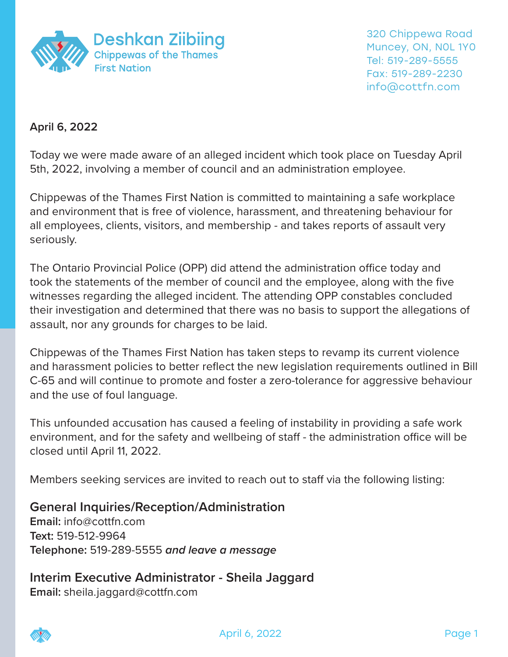

## **April 6, 2022**

Today we were made aware of an alleged incident which took place on Tuesday April 5th, 2022, involving a member of council and an administration employee.

Chippewas of the Thames First Nation is committed to maintaining a safe workplace and environment that is free of violence, harassment, and threatening behaviour for all employees, clients, visitors, and membership - and takes reports of assault very seriously.

The Ontario Provincial Police (OPP) did attend the administration office today and took the statements of the member of council and the employee, along with the five witnesses regarding the alleged incident. The attending OPP constables concluded their investigation and determined that there was no basis to support the allegations of assault, nor any grounds for charges to be laid.

Chippewas of the Thames First Nation has taken steps to revamp its current violence and harassment policies to better reflect the new legislation requirements outlined in Bill C-65 and will continue to promote and foster a zero-tolerance for aggressive behaviour and the use of foul language.

This unfounded accusation has caused a feeling of instability in providing a safe work environment, and for the safety and wellbeing of staff - the administration office will be closed until April 11, 2022.

Members seeking services are invited to reach out to staff via the following listing:

## **General Inquiries/Reception/Administration**

**Email:** info@cottfn.com **Text:** 519-512-9964 **Telephone:** 519-289-5555 *and leave a message*

**Interim Executive Administrator - Sheila Jaggard Email:** sheila.jaggard@cottfn.com